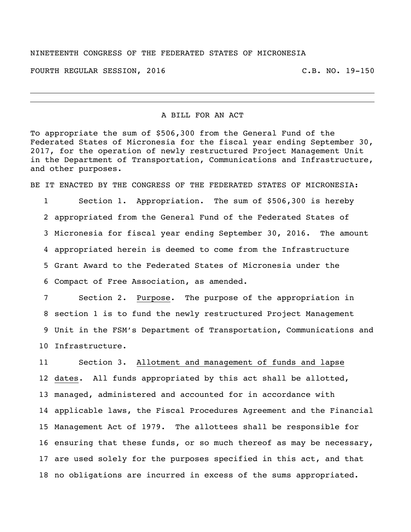## NINETEENTH CONGRESS OF THE FEDERATED STATES OF MICRONESIA

FOURTH REGULAR SESSION, 2016 C.B. NO. 19-150

A BILL FOR AN ACT

To appropriate the sum of \$506,300 from the General Fund of the Federated States of Micronesia for the fiscal year ending September 30, 2017, for the operation of newly restructured Project Management Unit in the Department of Transportation, Communications and Infrastructure, and other purposes.

BE IT ENACTED BY THE CONGRESS OF THE FEDERATED STATES OF MICRONESIA:

 Section 1. Appropriation. The sum of \$506,300 is hereby appropriated from the General Fund of the Federated States of Micronesia for fiscal year ending September 30, 2016. The amount appropriated herein is deemed to come from the Infrastructure Grant Award to the Federated States of Micronesia under the Compact of Free Association, as amended.

 Section 2. Purpose. The purpose of the appropriation in section 1 is to fund the newly restructured Project Management Unit in the FSM's Department of Transportation, Communications and Infrastructure.

 Section 3. Allotment and management of funds and lapse dates. All funds appropriated by this act shall be allotted, managed, administered and accounted for in accordance with applicable laws, the Fiscal Procedures Agreement and the Financial Management Act of 1979. The allottees shall be responsible for ensuring that these funds, or so much thereof as may be necessary, are used solely for the purposes specified in this act, and that no obligations are incurred in excess of the sums appropriated.